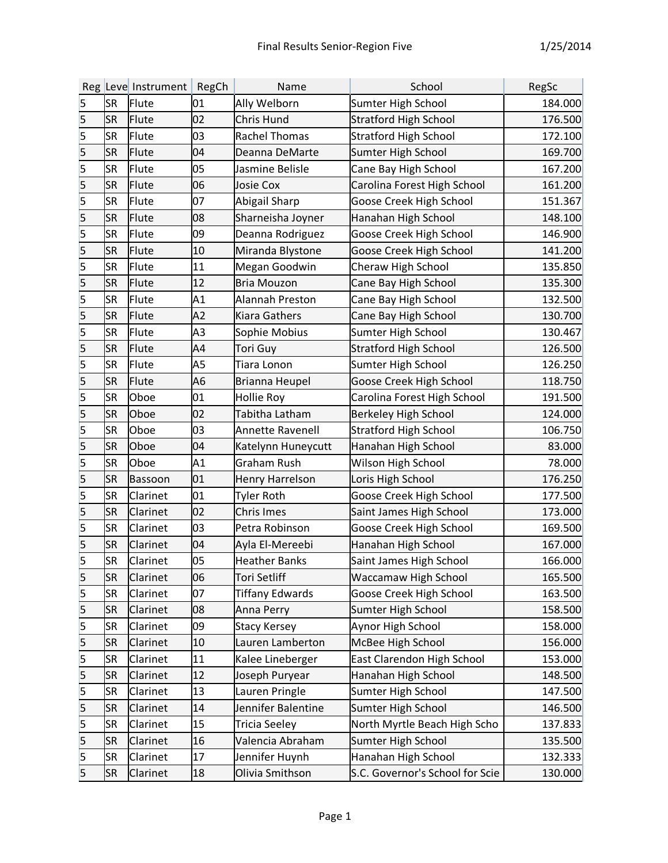|                         |           | Reg Leve Instrument | RegCh | Name                   | School                          | RegSc   |
|-------------------------|-----------|---------------------|-------|------------------------|---------------------------------|---------|
| 5                       | <b>SR</b> | Flute               | 01    | Ally Welborn           | Sumter High School              | 184.000 |
| $\overline{\mathbf{5}}$ | <b>SR</b> | Flute               | 02    | <b>Chris Hund</b>      | <b>Stratford High School</b>    | 176.500 |
| 5                       | <b>SR</b> | Flute               | 03    | <b>Rachel Thomas</b>   | <b>Stratford High School</b>    | 172.100 |
| $\overline{5}$          | <b>SR</b> | Flute               | 04    | Deanna DeMarte         | Sumter High School              | 169.700 |
| $\vert$ 5               | <b>SR</b> | Flute               | 05    | Jasmine Belisle        | Cane Bay High School            | 167.200 |
| $\vert$ 5               | <b>SR</b> | Flute               | 06    | <b>Josie Cox</b>       | Carolina Forest High School     | 161.200 |
| $\vert$ 5               | <b>SR</b> | Flute               | 07    | Abigail Sharp          | Goose Creek High School         | 151.367 |
| $\vert$ 5               | <b>SR</b> | Flute               | 08    | Sharneisha Joyner      | Hanahan High School             | 148.100 |
| 5                       | <b>SR</b> | Flute               | 09    | Deanna Rodriguez       | Goose Creek High School         | 146.900 |
| 5                       | <b>SR</b> | Flute               | 10    | Miranda Blystone       | Goose Creek High School         | 141.200 |
| $\vert$ 5               | <b>SR</b> | Flute               | 11    | Megan Goodwin          | Cheraw High School              | 135.850 |
| $\vert$ 5               | <b>SR</b> | Flute               | 12    | <b>Bria Mouzon</b>     | Cane Bay High School            | 135.300 |
| 5                       | <b>SR</b> | Flute               | A1    | <b>Alannah Preston</b> | Cane Bay High School            | 132.500 |
| $\vert$ 5               | <b>SR</b> | Flute               | A2    | <b>Kiara Gathers</b>   | Cane Bay High School            | 130.700 |
| $\vert$ 5               | <b>SR</b> | Flute               | A3    | Sophie Mobius          | Sumter High School              | 130.467 |
| $\vert$ 5               | <b>SR</b> | Flute               | A4    | <b>Tori Guy</b>        | <b>Stratford High School</b>    | 126.500 |
| 5                       | <b>SR</b> | Flute               | A5    | Tiara Lonon            | Sumter High School              | 126.250 |
| $\vert$ 5               | <b>SR</b> | Flute               | A6    | Brianna Heupel         | Goose Creek High School         | 118.750 |
| $\vert$ 5               | <b>SR</b> | Oboe                | 01    | <b>Hollie Roy</b>      | Carolina Forest High School     | 191.500 |
| $\vert$ 5               | <b>SR</b> | Oboe                | 02    | Tabitha Latham         | Berkeley High School            | 124.000 |
| 5                       | <b>SR</b> | Oboe                | 03    | Annette Ravenell       | <b>Stratford High School</b>    | 106.750 |
| $\vert$ 5               | <b>SR</b> | Oboe                | 04    | Katelynn Huneycutt     | Hanahan High School             | 83.000  |
| $\vert$ 5               | <b>SR</b> | Oboe                | A1    | Graham Rush            | Wilson High School              | 78.000  |
| 5                       | <b>SR</b> | <b>Bassoon</b>      | 01    | <b>Henry Harrelson</b> | Loris High School               | 176.250 |
| $\vert$ 5               | <b>SR</b> | Clarinet            | 01    | <b>Tyler Roth</b>      | Goose Creek High School         | 177.500 |
| $\overline{\mathbf{5}}$ | <b>SR</b> | Clarinet            | 02    | <b>Chris Imes</b>      | Saint James High School         | 173.000 |
| 5                       | <b>SR</b> | Clarinet            | 03    | Petra Robinson         | Goose Creek High School         | 169.500 |
| $\vert$ 5               | <b>SR</b> | Clarinet            | 04    | Ayla El-Mereebi        | Hanahan High School             | 167.000 |
| $\overline{\mathsf{5}}$ | <b>SR</b> | Clarinet            | 05    | <b>Heather Banks</b>   | Saint James High School         | 166.000 |
| $\vert$ 5               | <b>SR</b> | Clarinet            | 06    | <b>Tori Setliff</b>    | Waccamaw High School            | 165.500 |
| 5                       | <b>SR</b> | Clarinet            | 07    | <b>Tiffany Edwards</b> | Goose Creek High School         | 163.500 |
| $\vert$ 5               | <b>SR</b> | Clarinet            | 08    | Anna Perry             | Sumter High School              | 158.500 |
| 5                       | <b>SR</b> | Clarinet            | 09    | <b>Stacy Kersey</b>    | Aynor High School               | 158.000 |
| 5                       | <b>SR</b> | Clarinet            | 10    | Lauren Lamberton       | McBee High School               | 156.000 |
| 5                       | <b>SR</b> | Clarinet            | 11    | Kalee Lineberger       | East Clarendon High School      | 153.000 |
| $\vert$ 5               | <b>SR</b> | Clarinet            | 12    | Joseph Puryear         | Hanahan High School             | 148.500 |
| 5                       | <b>SR</b> | Clarinet            | 13    | Lauren Pringle         | Sumter High School              | 147.500 |
| $\vert$ 5               | <b>SR</b> | Clarinet            | 14    | Jennifer Balentine     | Sumter High School              | 146.500 |
| 5                       | <b>SR</b> | Clarinet            | 15    | <b>Tricia Seeley</b>   | North Myrtle Beach High Scho    | 137.833 |
| 5                       | <b>SR</b> | Clarinet            | 16    | Valencia Abraham       | Sumter High School              | 135.500 |
| 5                       | <b>SR</b> | Clarinet            | 17    | Jennifer Huynh         | Hanahan High School             | 132.333 |
| 5                       | <b>SR</b> | Clarinet            | 18    | Olivia Smithson        | S.C. Governor's School for Scie | 130.000 |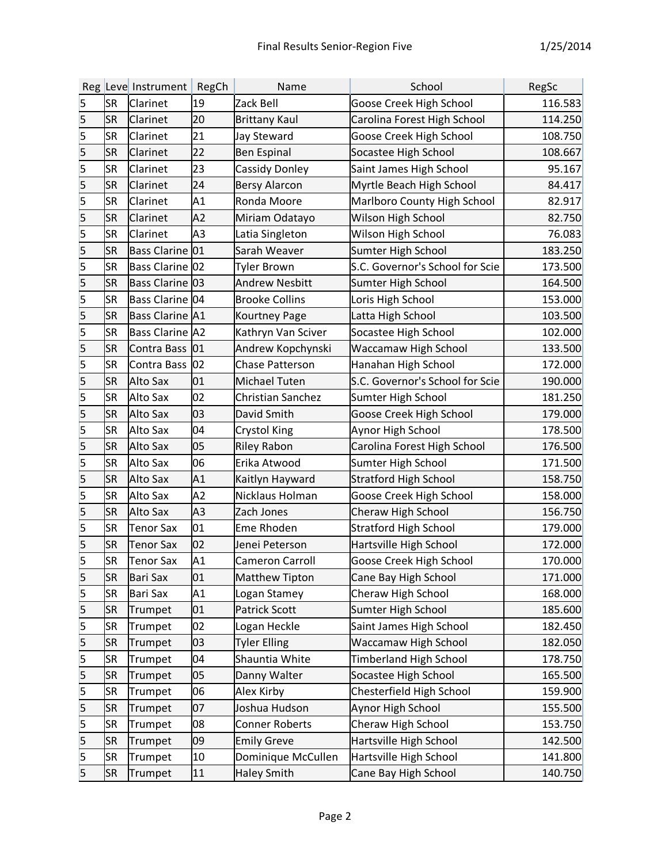|                |           | Reg Leve Instrument    | RegCh          | Name                   | School                          | RegSc   |
|----------------|-----------|------------------------|----------------|------------------------|---------------------------------|---------|
| 5              | <b>SR</b> | Clarinet               | 19             | Zack Bell              | Goose Creek High School         | 116.583 |
| $\vert$ 5      | <b>SR</b> | Clarinet               | 20             | <b>Brittany Kaul</b>   | Carolina Forest High School     | 114.250 |
| $\vert$ 5      | <b>SR</b> | Clarinet               | 21             | <b>Jay Steward</b>     | Goose Creek High School         | 108.750 |
| $\overline{5}$ | <b>SR</b> | Clarinet               | 22             | <b>Ben Espinal</b>     | Socastee High School            | 108.667 |
| $\vert$ 5      | <b>SR</b> | Clarinet               | 23             | Cassidy Donley         | Saint James High School         | 95.167  |
| $\overline{5}$ | <b>SR</b> | Clarinet               | 24             | <b>Bersy Alarcon</b>   | Myrtle Beach High School        | 84.417  |
| $\vert$ 5      | <b>SR</b> | Clarinet               | A1             | Ronda Moore            | Marlboro County High School     | 82.917  |
| $\overline{5}$ | <b>SR</b> | Clarinet               | A <sub>2</sub> | Miriam Odatayo         | Wilson High School              | 82.750  |
| $\overline{5}$ | <b>SR</b> | Clarinet               | A <sub>3</sub> | Latia Singleton        | Wilson High School              | 76.083  |
| $\overline{5}$ | <b>SR</b> | Bass Clarine 01        |                | Sarah Weaver           | Sumter High School              | 183.250 |
| $\vert$ 5      | <b>SR</b> | <b>Bass Clarine 02</b> |                | <b>Tyler Brown</b>     | S.C. Governor's School for Scie | 173.500 |
| $\overline{5}$ | <b>SR</b> | Bass Clarine 03        |                | <b>Andrew Nesbitt</b>  | Sumter High School              | 164.500 |
| $\vert$ 5      | <b>SR</b> | Bass Clarine 04        |                | <b>Brooke Collins</b>  | Loris High School               | 153.000 |
| $\overline{5}$ | <b>SR</b> | <b>Bass Clarine A1</b> |                | <b>Kourtney Page</b>   | Latta High School               | 103.500 |
| $\vert$ 5      | <b>SR</b> | <b>Bass Clarine A2</b> |                | Kathryn Van Sciver     | Socastee High School            | 102.000 |
| $\overline{5}$ | <b>SR</b> | Contra Bass            | 01             | Andrew Kopchynski      | <b>Waccamaw High School</b>     | 133.500 |
| $\vert$ 5      | <b>SR</b> | Contra Bass            | 02             | <b>Chase Patterson</b> | Hanahan High School             | 172.000 |
| $\overline{5}$ | <b>SR</b> | Alto Sax               | 01             | <b>Michael Tuten</b>   | S.C. Governor's School for Scie | 190.000 |
| $\vert$ 5      | <b>SR</b> | Alto Sax               | 02             | Christian Sanchez      | Sumter High School              | 181.250 |
| $\overline{5}$ | <b>SR</b> | Alto Sax               | 03             | David Smith            | Goose Creek High School         | 179.000 |
| $\vert$ 5      | <b>SR</b> | Alto Sax               | 04             | Crystol King           | Aynor High School               | 178.500 |
| $\overline{5}$ | <b>SR</b> | Alto Sax               | 05             | <b>Riley Rabon</b>     | Carolina Forest High School     | 176.500 |
| $\overline{5}$ | <b>SR</b> | Alto Sax               | 06             | Erika Atwood           | Sumter High School              | 171.500 |
| $\overline{5}$ | <b>SR</b> | Alto Sax               | A1             | Kaitlyn Hayward        | <b>Stratford High School</b>    | 158.750 |
| $\vert$ 5      | <b>SR</b> | Alto Sax               | A <sub>2</sub> | Nicklaus Holman        | Goose Creek High School         | 158.000 |
| $\overline{5}$ | <b>SR</b> | <b>Alto Sax</b>        | A <sub>3</sub> | Zach Jones             | Cheraw High School              | 156.750 |
| $\vert$ 5      | <b>SR</b> | <b>Tenor Sax</b>       | 01             | Eme Rhoden             | <b>Stratford High School</b>    | 179.000 |
| 5              | <b>SR</b> | <b>Tenor Sax</b>       | 02             | Jenei Peterson         | Hartsville High School          | 172.000 |
| 5              | <b>SR</b> | <b>Tenor Sax</b>       | A1             | <b>Cameron Carroll</b> | Goose Creek High School         | 170.000 |
| $\vert$ 5      | <b>SR</b> | Bari Sax               | 01             | <b>Matthew Tipton</b>  | Cane Bay High School            | 171.000 |
| 5              | <b>SR</b> | <b>Bari Sax</b>        | A1             | Logan Stamey           | Cheraw High School              | 168.000 |
| $\vert$ 5      | <b>SR</b> | Trumpet                | 01             | <b>Patrick Scott</b>   | Sumter High School              | 185.600 |
| $\vert$ 5      | <b>SR</b> | Trumpet                | 02             | Logan Heckle           | Saint James High School         | 182.450 |
| $\vert$ 5      | <b>SR</b> | Trumpet                | 03             | <b>Tyler Elling</b>    | <b>Waccamaw High School</b>     | 182.050 |
| $\vert$ 5      | <b>SR</b> | Trumpet                | 04             | Shauntia White         | <b>Timberland High School</b>   | 178.750 |
| $\vert$ 5      | <b>SR</b> | Trumpet                | 05             | Danny Walter           | Socastee High School            | 165.500 |
| $\overline{5}$ | <b>SR</b> | Trumpet                | 06             | Alex Kirby             | Chesterfield High School        | 159.900 |
| $\vert$ 5      | <b>SR</b> | Trumpet                | 07             | Joshua Hudson          | Aynor High School               | 155.500 |
| 5              | <b>SR</b> | Trumpet                | 08             | <b>Conner Roberts</b>  | Cheraw High School              | 153.750 |
| $\vert$ 5      | <b>SR</b> | Trumpet                | 09             | <b>Emily Greve</b>     | Hartsville High School          | 142.500 |
| 5              | <b>SR</b> | Trumpet                | 10             | Dominique McCullen     | Hartsville High School          | 141.800 |
| 5              | <b>SR</b> | Trumpet                | 11             | <b>Haley Smith</b>     | Cane Bay High School            | 140.750 |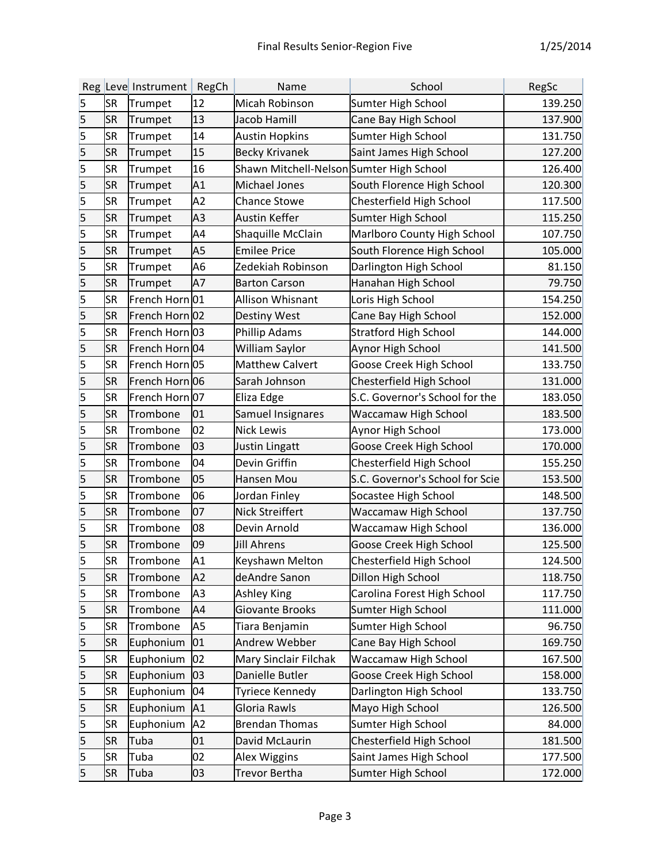|                         |           | Reg Leve Instrument | RegCh          | Name                                     | School                          | RegSc   |
|-------------------------|-----------|---------------------|----------------|------------------------------------------|---------------------------------|---------|
| 5                       | <b>SR</b> | Trumpet             | 12             | Micah Robinson                           | Sumter High School              | 139.250 |
| 5                       | <b>SR</b> | Trumpet             | 13             | Jacob Hamill                             | Cane Bay High School            | 137.900 |
| $\overline{\mathbf{5}}$ | <b>SR</b> | Trumpet             | 14             | <b>Austin Hopkins</b>                    | Sumter High School              | 131.750 |
| 5                       | <b>SR</b> | Trumpet             | 15             | <b>Becky Krivanek</b>                    | Saint James High School         | 127.200 |
| 5                       | <b>SR</b> | Trumpet             | 16             | Shawn Mitchell-Nelson Sumter High School |                                 | 126.400 |
| 5                       | <b>SR</b> | Trumpet             | A1             | <b>Michael Jones</b>                     | South Florence High School      | 120.300 |
| 5                       | <b>SR</b> | Trumpet             | A2             | <b>Chance Stowe</b>                      | Chesterfield High School        | 117.500 |
| 5                       | <b>SR</b> | Trumpet             | A <sub>3</sub> | <b>Austin Keffer</b>                     | Sumter High School              | 115.250 |
| 5                       | <b>SR</b> | Trumpet             | A4             | Shaquille McClain                        | Marlboro County High School     | 107.750 |
| 5                       | <b>SR</b> | Trumpet             | A <sub>5</sub> | <b>Emilee Price</b>                      | South Florence High School      | 105.000 |
| 5                       | <b>SR</b> | Trumpet             | A6             | Zedekiah Robinson                        | Darlington High School          | 81.150  |
| 5                       | <b>SR</b> | Trumpet             | A7             | <b>Barton Carson</b>                     | Hanahan High School             | 79.750  |
| 5                       | <b>SR</b> | French Horn 01      |                | Allison Whisnant                         | Loris High School               | 154.250 |
| 5                       | <b>SR</b> | French Horn 02      |                | <b>Destiny West</b>                      | Cane Bay High School            | 152.000 |
| 5                       | <b>SR</b> | French Horn 03      |                | <b>Phillip Adams</b>                     | <b>Stratford High School</b>    | 144.000 |
| 5                       | <b>SR</b> | French Horn 04      |                | William Saylor                           | Aynor High School               | 141.500 |
| 5                       | <b>SR</b> | French Horn 05      |                | <b>Matthew Calvert</b>                   | Goose Creek High School         | 133.750 |
| 5                       | <b>SR</b> | French Horn 06      |                | Sarah Johnson                            | Chesterfield High School        | 131.000 |
| 5                       | <b>SR</b> | French Horn 07      |                | Eliza Edge                               | S.C. Governor's School for the  | 183.050 |
| 5                       | <b>SR</b> | Trombone            | 01             | Samuel Insignares                        | Waccamaw High School            | 183.500 |
| 5                       | <b>SR</b> | Trombone            | 02             | <b>Nick Lewis</b>                        | Aynor High School               | 173.000 |
| 5                       | <b>SR</b> | Trombone            | 03             | Justin Lingatt                           | Goose Creek High School         | 170.000 |
| 5                       | <b>SR</b> | Trombone            | 04             | Devin Griffin                            | Chesterfield High School        | 155.250 |
| 5                       | <b>SR</b> | Trombone            | 05             | <b>Hansen Mou</b>                        | S.C. Governor's School for Scie | 153.500 |
| 5                       | <b>SR</b> | Trombone            | 06             | Jordan Finley                            | Socastee High School            | 148.500 |
| 5                       | <b>SR</b> | Trombone            | 07             | <b>Nick Streiffert</b>                   | Waccamaw High School            | 137.750 |
| $\overline{\mathsf{5}}$ | <b>SR</b> | Trombone            | 08             | Devin Arnold                             | <b>Waccamaw High School</b>     | 136.000 |
| 5                       | <b>SR</b> | Trombone            | 09             | Jill Ahrens                              | Goose Creek High School         | 125.500 |
| 5                       | <b>SR</b> | Trombone            | A1             | Keyshawn Melton                          | Chesterfield High School        | 124.500 |
| $\overline{\mathsf{5}}$ | <b>SR</b> | Trombone            | A2             | deAndre Sanon                            | Dillon High School              | 118.750 |
| 5                       | <b>SR</b> | Trombone            | A3             | <b>Ashley King</b>                       | Carolina Forest High School     | 117.750 |
| $\overline{\mathbf{5}}$ | <b>SR</b> | Trombone            | AA             | <b>Giovante Brooks</b>                   | Sumter High School              | 111.000 |
| 5                       | <b>SR</b> | Trombone            | A5             | Tiara Benjamin                           | Sumter High School              | 96.750  |
| $\overline{\mathbf{5}}$ | <b>SR</b> | Euphonium           | 01             | Andrew Webber                            | Cane Bay High School            | 169.750 |
| $\overline{\mathbf{5}}$ | SR        | Euphonium           | 02             | Mary Sinclair Filchak                    | Waccamaw High School            | 167.500 |
| $\overline{\mathbf{5}}$ | <b>SR</b> | Euphonium           | 03             | Danielle Butler                          | Goose Creek High School         | 158.000 |
| $\overline{\mathbf{5}}$ | <b>SR</b> | Euphonium           | 04             | Tyriece Kennedy                          | Darlington High School          | 133.750 |
| 5                       | <b>SR</b> | Euphonium           | A1             | Gloria Rawls                             | Mayo High School                | 126.500 |
| $\overline{\mathbf{5}}$ | SR        | Euphonium           | A2             | <b>Brendan Thomas</b>                    | Sumter High School              | 84.000  |
| $\overline{\mathbf{5}}$ | <b>SR</b> | Tuba                | 01             | David McLaurin                           | Chesterfield High School        | 181.500 |
| 5                       | <b>SR</b> | Tuba                | 02             | Alex Wiggins                             | Saint James High School         | 177.500 |
| $\overline{\mathbf{5}}$ | <b>SR</b> | Tuba                | 03             | <b>Trevor Bertha</b>                     | Sumter High School              | 172.000 |